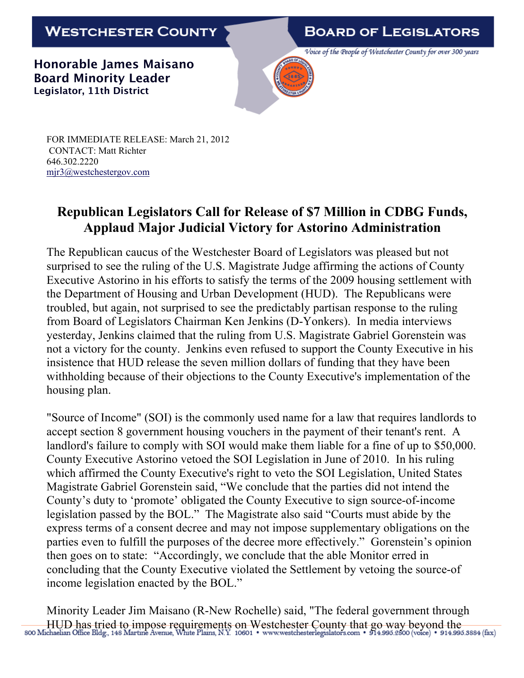## WESTCHESTER COUNTY

## **BOARD OF LEGISLATORS**

Voice of the People of Westchester County for over 300 years

**Honorable James Maisano Board Minority Leader Legislator, 11th District**



FOR IMMEDIATE RELEASE: March 21, 2012 CONTACT: Matt Richter 646.302.2220 mjr3@westchestergov.com

## **Republican Legislators Call for Release of \$7 Million in CDBG Funds, Applaud Major Judicial Victory for Astorino Administration**

The Republican caucus of the Westchester Board of Legislators was pleased but not surprised to see the ruling of the U.S. Magistrate Judge affirming the actions of County Executive Astorino in his efforts to satisfy the terms of the 2009 housing settlement with the Department of Housing and Urban Development (HUD). The Republicans were troubled, but again, not surprised to see the predictably partisan response to the ruling from Board of Legislators Chairman Ken Jenkins (D-Yonkers). In media interviews yesterday, Jenkins claimed that the ruling from U.S. Magistrate Gabriel Gorenstein was not a victory for the county. Jenkins even refused to support the County Executive in his insistence that HUD release the seven million dollars of funding that they have been withholding because of their objections to the County Executive's implementation of the housing plan.

"Source of Income" (SOI) is the commonly used name for a law that requires landlords to accept section 8 government housing vouchers in the payment of their tenant's rent. A landlord's failure to comply with SOI would make them liable for a fine of up to \$50,000. County Executive Astorino vetoed the SOI Legislation in June of 2010. In his ruling which affirmed the County Executive's right to veto the SOI Legislation, United States Magistrate Gabriel Gorenstein said, "We conclude that the parties did not intend the County's duty to 'promote' obligated the County Executive to sign source-of-income legislation passed by the BOL." The Magistrate also said "Courts must abide by the express terms of a consent decree and may not impose supplementary obligations on the parties even to fulfill the purposes of the decree more effectively." Gorenstein's opinion then goes on to state: "Accordingly, we conclude that the able Monitor erred in concluding that the County Executive violated the Settlement by vetoing the source-of income legislation enacted by the BOL."

Minority Leader Jim Maisano (R-New Rochelle) said, "The federal government through HUD has tried to impose requirements on Westchester County that go way beyond the soo Michaelian Office Bldg., 148 Martine Avenue, White Plains, N.Y. 10601 • www.westchesterlegislators.com • 914.995.2800 (voice) • 914.995.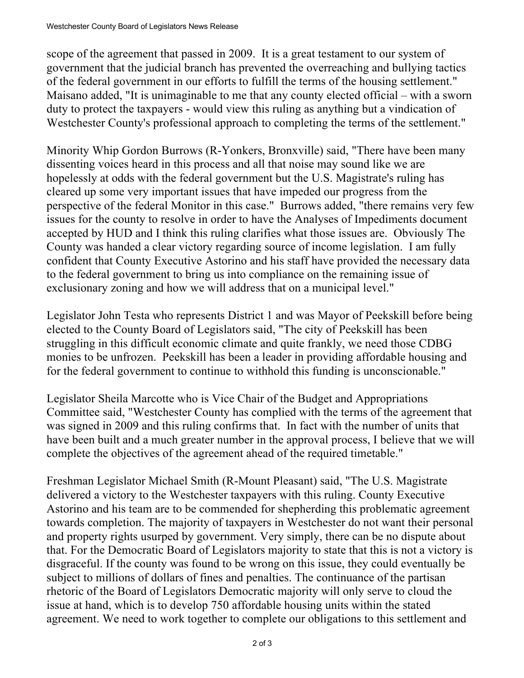scope of the agreement that passed in 2009. It is a great testament to our system of government that the judicial branch has prevented the overreaching and bullying tactics of the federal government in our efforts to fulfill the terms of the housing settlement." Maisano added, "It is unimaginable to me that any county elected official – with a sworn duty to protect the taxpayers - would view this ruling as anything but a vindication of Westchester County's professional approach to completing the terms of the settlement."

Minority Whip Gordon Burrows (R-Yonkers, Bronxville) said, "There have been many dissenting voices heard in this process and all that noise may sound like we are hopelessly at odds with the federal government but the U.S. Magistrate's ruling has cleared up some very important issues that have impeded our progress from the perspective of the federal Monitor in this case." Burrows added, "there remains very few issues for the county to resolve in order to have the Analyses of Impediments document accepted by HUD and I think this ruling clarifies what those issues are. Obviously The County was handed a clear victory regarding source of income legislation. I am fully confident that County Executive Astorino and his staff have provided the necessary data to the federal government to bring us into compliance on the remaining issue of exclusionary zoning and how we will address that on a municipal level."

Legislator John Testa who represents District 1 and was Mayor of Peekskill before being elected to the County Board of Legislators said, "The city of Peekskill has been struggling in this difficult economic climate and quite frankly, we need those CDBG monies to be unfrozen. Peekskill has been a leader in providing affordable housing and for the federal government to continue to withhold this funding is unconscionable."

Legislator Sheila Marcotte who is Vice Chair of the Budget and Appropriations Committee said, "Westchester County has complied with the terms of the agreement that was signed in 2009 and this ruling confirms that. In fact with the number of units that have been built and a much greater number in the approval process, I believe that we will complete the objectives of the agreement ahead of the required timetable."

Freshman Legislator Michael Smith (R-Mount Pleasant) said, "The U.S. Magistrate delivered a victory to the Westchester taxpayers with this ruling. County Executive Astorino and his team are to be commended for shepherding this problematic agreement towards completion. The majority of taxpayers in Westchester do not want their personal and property rights usurped by government. Very simply, there can be no dispute about that. For the Democratic Board of Legislators majority to state that this is not a victory is disgraceful. If the county was found to be wrong on this issue, they could eventually be subject to millions of dollars of fines and penalties. The continuance of the partisan rhetoric of the Board of Legislators Democratic majority will only serve to cloud the issue at hand, which is to develop 750 affordable housing units within the stated agreement. We need to work together to complete our obligations to this settlement and